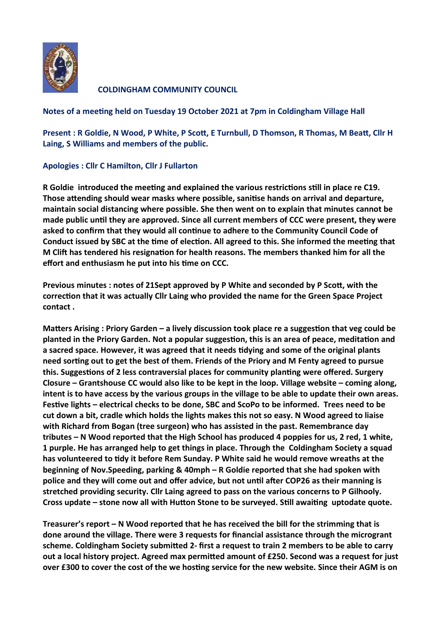

**COLDINGHAM COMMUNITY COUNCIL** 

## **Notes of a meeting held on Tuesday 19 October 2021 at 7pm in Coldingham Village Hall**

**Present : R Goldie, N Wood, P White, P Scott, E Turnbull, D Thomson, R Thomas, M Beatt, Cllr H Laing, S Williams and members of the public.**

## **Apologies : Cllr C Hamilton, Cllr J Fullarton**

**R Goldie introduced the meeting and explained the various restrictions still in place re C19. Those attending should wear masks where possible, sanitise hands on arrival and departure, maintain social distancing where possible. She then went on to explain that minutes cannot be made public until they are approved. Since all current members of CCC were present, they were asked to confirm that they would all continue to adhere to the Community Council Code of Conduct issued by SBC at the time of election. All agreed to this. She informed the meeting that M Clift has tendered his resignation for health reasons. The members thanked him for all the effort and enthusiasm he put into his time on CCC.**

**Previous minutes : notes of 21Sept approved by P White and seconded by P Scott, with the correction that it was actually Cllr Laing who provided the name for the Green Space Project contact .**

**Matters Arising : Priory Garden – a lively discussion took place re a suggestion that veg could be planted in the Priory Garden. Not a popular suggestion, this is an area of peace, meditation and a sacred space. However, it was agreed that it needs tidying and some of the original plants need sorting out to get the best of them. Friends of the Priory and M Fenty agreed to pursue this. Suggestions of 2 less contraversial places for community planting were offered. Surgery Closure – Grantshouse CC would also like to be kept in the loop. Village website – coming along, intent is to have access by the various groups in the village to be able to update their own areas. Festive lights – electrical checks to be done, SBC and ScoPo to be informed. Trees need to be cut down a bit, cradle which holds the lights makes this not so easy. N Wood agreed to liaise with Richard from Bogan (tree surgeon) who has assisted in the past. Remembrance day tributes – N Wood reported that the High School has produced 4 poppies for us, 2 red, 1 white, 1 purple. He has arranged help to get things in place. Through the Coldingham Society a squad has volunteered to tidy it before Rem Sunday. P White said he would remove wreaths at the beginning of Nov.Speeding, parking & 40mph – R Goldie reported that she had spoken with police and they will come out and offer advice, but not until after COP26 as their manning is stretched providing security. Cllr Laing agreed to pass on the various concerns to P Gilhooly. Cross update – stone now all with Hutton Stone to be surveyed. Still awaiting uptodate quote.** 

**Treasurer's report – N Wood reported that he has received the bill for the strimming that is done around the village. There were 3 requests for financial assistance through the microgrant scheme. Coldingham Society submitted 2- first a request to train 2 members to be able to carry out a local history project. Agreed max permitted amount of £250. Second was a request for just over £300 to cover the cost of the we hosting service for the new website. Since their AGM is on**